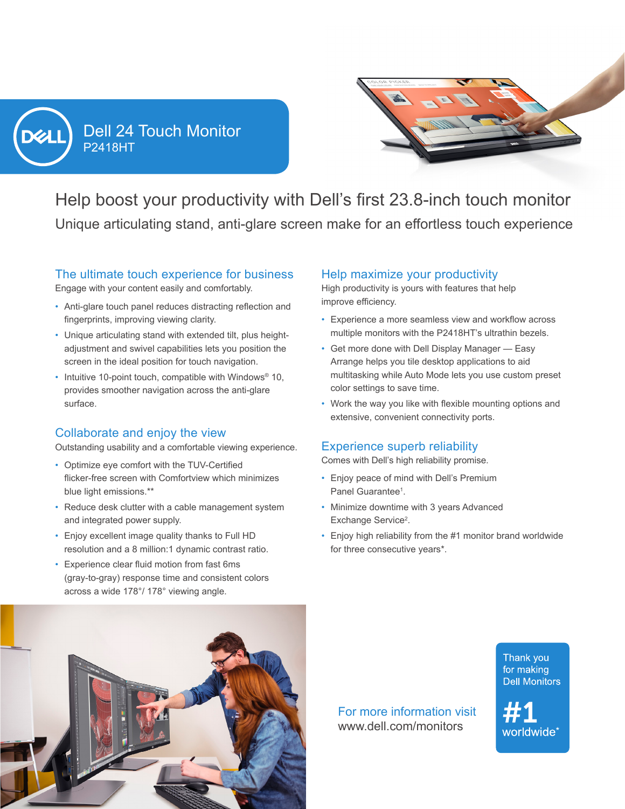

P2418HT Dell 24 Touch Monitor



Help boost your productivity with Dell's first 23.8-inch touch monitor Unique articulating stand, anti-glare screen make for an effortless touch experience

#### The ultimate touch experience for business

Engage with your content easily and comfortably.

- Anti-glare touch panel reduces distracting reflection and fingerprints, improving viewing clarity.
- Unique articulating stand with extended tilt, plus heightadjustment and swivel capabilities lets you position the screen in the ideal position for touch navigation.
- Intuitive 10-point touch, compatible with Windows<sup>®</sup> 10, provides smoother navigation across the anti-glare surface.

# Collaborate and enjoy the view

Outstanding usability and a comfortable viewing experience.

- Optimize eye comfort with the TUV-Certified flicker-free screen with Comfortview which minimizes blue light emissions.\*\*
- Reduce desk clutter with a cable management system and integrated power supply.
- Enjoy excellent image quality thanks to Full HD resolution and a 8 million:1 dynamic contrast ratio.
- Experience clear fluid motion from fast 6ms (gray-to-gray) response time and consistent colors across a wide 178°/ 178° viewing angle.

# Help maximize your productivity

High productivity is yours with features that help improve efficiency.

- Experience a more seamless view and workflow across multiple monitors with the P2418HT's ultrathin bezels.
- Get more done with Dell Display Manager Easy Arrange helps you tile desktop applications to aid multitasking while Auto Mode lets you use custom preset color settings to save time.
- Work the way you like with flexible mounting options and extensive, convenient connectivity ports.

# Experience superb reliability

Comes with Dell's high reliability promise.

- Enjoy peace of mind with Dell's Premium Panel Guarantee<sup>1</sup>.
- Minimize downtime with 3 years Advanced Exchange Service<sup>2</sup>.
- Enjoy high reliability from the #1 monitor brand worldwide for three consecutive years\*.



For more information visit www.dell.com/monitors



worldwide\*